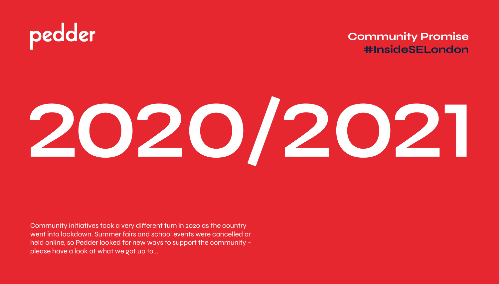#### **Community Promise #InsideSELondon**

# **2020/2021**

Community initiatives took a very different turn in 2020 as the country went into lockdown. Summer fairs and school events were cancelled or held online, so Pedder looked for new ways to support the community – please have a look at what we got up to...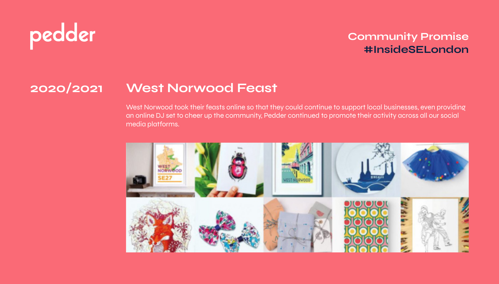#### **Community Promise #InsideSELondon**

### **2020/2021 West Norwood Feast**

West Norwood took their feasts online so that they could continue to support local businesses, even providing an online DJ set to cheer up the community, Pedder continued to promote their activity across all our social media platforms.

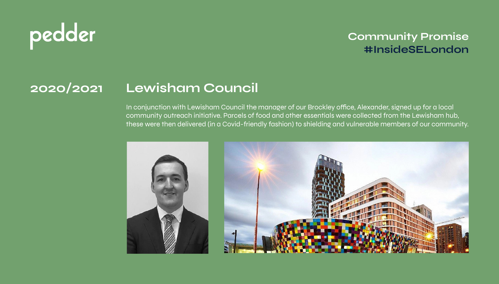#### **Community Promise #InsideSELondon**

### **2020/2021 Lewisham Council**

In conjunction with Lewisham Council the manager of our Brockley office, Alexander, signed up for a local community outreach initiative. Parcels of food and other essentials were collected from the Lewisham hub, these were then delivered (in a Covid-friendly fashion) to shielding and vulnerable members of our community.

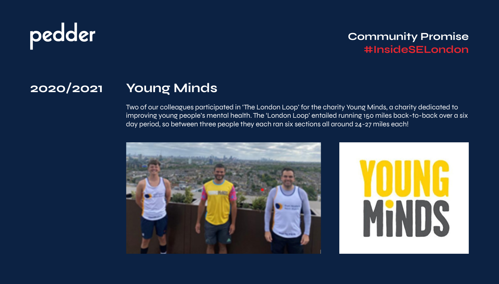#### **Community Promise #InsideSELondon**

### **2020/2021 Young Minds**

Two of our colleagues participated in 'The London Loop' for the charity Young Minds, a charity dedicated to improving young people's mental health. The 'London Loop' entailed running 150 miles back-to-back over a six day period, so between three people they each ran six sections all around 24-27 miles each!

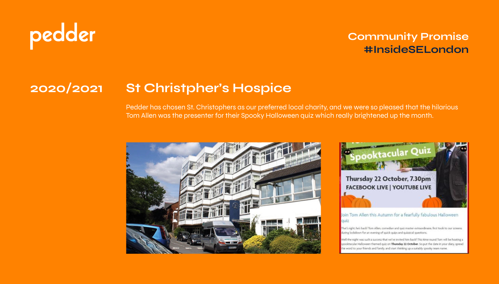#### **Community Promise #InsideSELondon**

### **2020/2021 St Christpher's Hospice**

Pedder has chosen St. Christophers as our preferred local charity, and we were so pleased that the hilarious Tom Allen was the presenter for their Spooky Halloween quiz which really brightened up the month.





Join Tom Allen this Autumn for a fearfully fabulous Halloween quiz

That's right, he's back! Tom Allen, comedian and quiz master extraordinaire, first took to our screens during lockdown for an evening of quick quips and quizzical questions.

Well the night was such a success that we've invited him back! This time round Tom will be hosting a spooktacular Halloween themed quiz on Thursday 22 October. So put the date in your diary, spread the word to your friends and family, and start thinking up a suitably spooky team name.